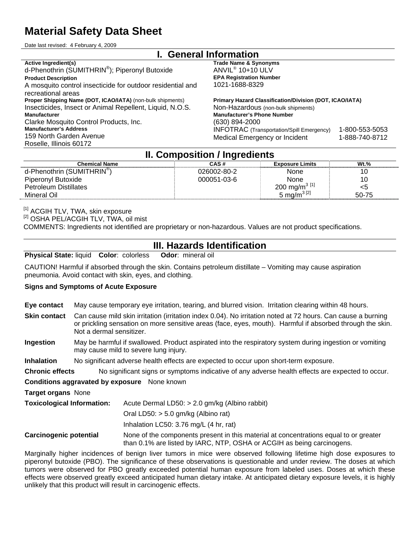# **Material Safety Data Sheet**

Date last revised: 4 February 4, 2009

#### **I. General Information Active Ingredient(s)**  d-Phenothrin (SUMITHRIN® ); Piperonyl Butoxide **Product Description**  A mosquito control insecticide for outdoor residential and recreational areas **Trade Name & Synonyms**  ANVIL® 10+10 ULV **EPA Registration Number**  1021-1688-8329 **Proper Shipping Name (DOT, ICAO/IATA)** (non-bulk shipments) Insecticides, Insect or Animal Repellent, Liquid, N.O.S. **Primary Hazard Classification/Division (DOT, ICAO/IATA)**  Non-Hazardous (non-bulk shipments) **Manufacturer**  Clarke Mosquito Control Products, Inc. **Manufacturer's Address**  159 North Garden Avenue Roselle, Illinois 60172 **Manufacturer's Phone Number**  (630) 894-2000 INFOTRAC (Transportation/Spill Emergency) 1-800-553-5053 Medical Emergency or Incident1-888-740-8712

### **II. Composition / Ingredients**

| <b>Chemical Name</b>                   | CAS#        | <b>Exposure Limits</b>    | $Wt.$ % |
|----------------------------------------|-------------|---------------------------|---------|
| d-Phenothrin (SUMITHRIN <sup>®</sup> ) | 026002-80-2 | None                      | 10      |
| Piperonyl Butoxide                     | 000051-03-6 | None                      | 10      |
| <b>Petroleum Distillates</b>           |             | 200 mg/m <sup>3 [1]</sup> | <5      |
| Mineral Oil                            |             | 5 mg/m <sup>3 [2]</sup>   | 50-75   |

<sup>[1]</sup> ACGIH TLV, TWA, skin exposure<br><sup>[2]</sup> OSHA PEL/ACGIH TLV, TWA, oil mist COMMENTS: Ingredients not identified are proprietary or non-hazardous. Values are not product specifications.

### **III. Hazards Identification**

**Physical State:** liquid **Color**: colorless **Odor**: mineral oil

CAUTION! Harmful if absorbed through the skin. Contains petroleum distillate – Vomiting may cause aspiration pneumonia. Avoid contact with skin, eyes, and clothing.

#### **Signs and Symptoms of Acute Exposure**

|  |  | Eye contact May cause temporary eye irritation, tearing, and blurred vision. Irritation clearing within 48 hours. |
|--|--|-------------------------------------------------------------------------------------------------------------------|
|  |  |                                                                                                                   |

- **Skin contact** Can cause mild skin irritation (irritation index 0.04). No irritation noted at 72 hours. Can cause a burning or prickling sensation on more sensitive areas (face, eyes, mouth). Harmful if absorbed through the skin. Not a dermal sensitizer.
- **Ingestion** May be harmful if swallowed. Product aspirated into the respiratory system during ingestion or vomiting may cause mild to severe lung injury.

**Inhalation** No significant adverse health effects are expected to occur upon short-term exposure.

**Chronic effects** No significant signs or symptoms indicative of any adverse health effects are expected to occur.

#### **Conditions aggravated by exposure** None known

**Target organs** None

| <b>Toxicological Information:</b> | Acute Dermal LD50: $> 2.0$ gm/kg (Albino rabbit)                                      |
|-----------------------------------|---------------------------------------------------------------------------------------|
|                                   | Oral LD50: $>$ 5.0 gm/kg (Albino rat)                                                 |
|                                   | Inhalation LC50: $3.76$ mg/L (4 hr, rat)                                              |
| <b>Carcinogenic potential</b>     | None of the components present in this material at concentrations equal to or greater |

Marginally higher incidences of benign liver tumors in mice were observed following lifetime high dose exposures to piperonyl butoxide (PBO). The significance of these observations is questionable and under review. The doses at which tumors were observed for PBO greatly exceeded potential human exposure from labeled uses. Doses at which these effects were observed greatly exceed anticipated human dietary intake. At anticipated dietary exposure levels, it is highly unlikely that this product will result in carcinogenic effects.

than 0.1% are listed by IARC, NTP, OSHA or ACGIH as being carcinogens.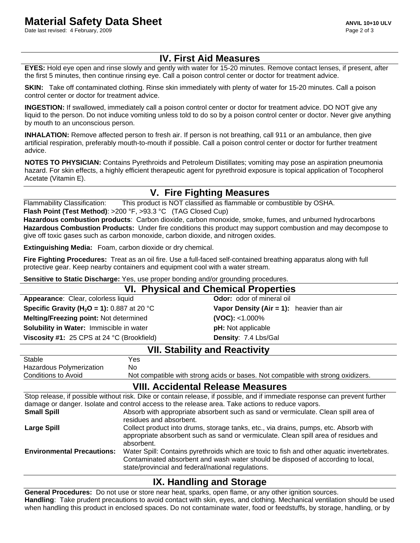Date last revised: 4 February, 2009 **Page 2 of 3** and 2009 **Page 2 of 3** and 2011 **Page 2 of 3** and 2011 **Page 2 of 3** 

# **IV. First Aid Measures**

**EYES:** Hold eye open and rinse slowly and gently with water for 15-20 minutes. Remove contact lenses, if present, after the first 5 minutes, then continue rinsing eye. Call a poison control center or doctor for treatment advice.

**SKIN:** Take off contaminated clothing. Rinse skin immediately with plenty of water for 15-20 minutes. Call a poison control center or doctor for treatment advice.

**INGESTION:** If swallowed, immediately call a poison control center or doctor for treatment advice. DO NOT give any liquid to the person. Do not induce vomiting unless told to do so by a poison control center or doctor. Never give anything by mouth to an unconscious person.

**INHALATION:** Remove affected person to fresh air. If person is not breathing, call 911 or an ambulance, then give artificial respiration, preferably mouth-to-mouth if possible. Call a poison control center or doctor for further treatment advice.

**NOTES TO PHYSICIAN:** Contains Pyrethroids and Petroleum Distillates; vomiting may pose an aspiration pneumonia hazard. For skin effects, a highly efficient therapeutic agent for pyrethroid exposure is topical application of Tocopherol Acetate (Vitamin E).

# **V. Fire Fighting Measures**

Flammability Classification: This product is NOT classified as flammable or combustible by OSHA.

**Flash Point (Test Method)**: >200 °F, >93.3 °C (TAG Closed Cup)

**Hazardous combustion products**: Carbon dioxide, carbon monoxide, smoke, fumes, and unburned hydrocarbons **Hazardous Combustion Products:** Under fire conditions this product may support combustion and may decompose to give off toxic gases such as carbon monoxide, carbon dioxide, and nitrogen oxides.

**Extinguishing Media:** Foam, carbon dioxide or dry chemical.

**Fire Fighting Procedures:** Treat as an oil fire. Use a full-faced self-contained breathing apparatus along with full protective gear. Keep nearby containers and equipment cool with a water stream.

**Sensitive to Static Discharge:** Yes, use proper bonding and/or grounding procedures.

| <b>VI. Physical and Chemical Properties</b>                  |                                           |  |
|--------------------------------------------------------------|-------------------------------------------|--|
| Appearance: Clear, colorless liquid                          | <b>Odor:</b> odor of mineral oil          |  |
| <b>Specific Gravity (H<sub>2</sub>O = 1):</b> 0.887 at 20 °C | Vapor Density (Air = 1): heavier than air |  |
| Melting/Freezing point: Not determined                       | $(VOC): < 1.000\%$                        |  |
| Solubility in Water: Immiscible in water                     | <b>pH:</b> Not applicable                 |  |
| Viscosity #1: 25 CPS at 24 °C (Brookfield)                   | Density: 7.4 Lbs/Gal                      |  |
| _________<br>.                                               |                                           |  |

| <b>VII. Stability and Reactivity</b> |                                                                                                                             |
|--------------------------------------|-----------------------------------------------------------------------------------------------------------------------------|
| Stable                               | Yes                                                                                                                         |
| Hazardous Polymerization             | No.                                                                                                                         |
| Conditions to Avoid                  | Not compatible with strong acids or bases. Not compatible with strong oxidizers.                                            |
|                                      | <b>VIII. Accidental Release Measures</b>                                                                                    |
|                                      | Ctan relegge if nogeible without right. Dike ar contain relegge if nogeible, and if immediate recreases can provent further |

|                                   | Stop release, if possible without risk. Dike or contain release, if possible, and if immediate response can prevent further                                                                                                         |
|-----------------------------------|-------------------------------------------------------------------------------------------------------------------------------------------------------------------------------------------------------------------------------------|
|                                   | damage or danger. Isolate and control access to the release area. Take actions to reduce vapors.                                                                                                                                    |
| <b>Small Spill</b>                | Absorb with appropriate absorbent such as sand or vermiculate. Clean spill area of<br>residues and absorbent.                                                                                                                       |
| <b>Large Spill</b>                | Collect product into drums, storage tanks, etc., via drains, pumps, etc. Absorb with<br>appropriate absorbent such as sand or vermiculate. Clean spill area of residues and<br>absorbent.                                           |
| <b>Environmental Precautions:</b> | Water Spill: Contains pyrethroids which are toxic to fish and other aquatic invertebrates.<br>Contaminated absorbent and wash water should be disposed of according to local,<br>state/provincial and federal/national regulations. |

## **IX. Handling and Storage**

**General Procedures:** Do not use or store near heat, sparks, open flame, or any other ignition sources. **Handling**: Take prudent precautions to avoid contact with skin, eyes, and clothing. Mechanical ventilation should be used when handling this product in enclosed spaces. Do not contaminate water, food or feedstuffs, by storage, handling, or by